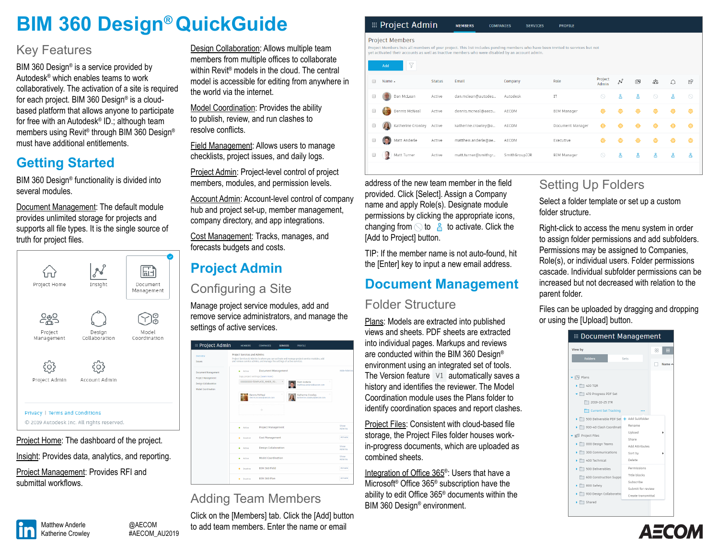# **BIM 360 Design® QuickGuide**

#### Key Features

BIM 360 Design® is a service provided by Autodesk® which enables teams to work collaboratively. The activation of a site is required for each project. BIM 360 Design® is a cloudbased platform that allows anyone to participate for free with an Autodesk® ID.; although team members using Revit® through BIM 360 Design® must have additional entitlements.

#### **[Getting Started](https://knowledge.autodesk.com/support/bim-360/learn-explore/caas/sfdcarticles/sfdcarticles/BIM-360-Design-Getting-Started.html)**

BIM 360 Design® functionality is divided into several modules.

**Document Management: The default module** provides unlimited storage for projects and supports all file types. It is the single source of truth for project files.

| Project Home                   | Insight                                   | Document<br>Management |
|--------------------------------|-------------------------------------------|------------------------|
| 20<br>Project<br>Management    | Design<br>Collaboration                   | Model<br>Coordination  |
| Project Admin                  | Account Admin                             |                        |
| Privacy   Terms and Conditions | © 2019 Autodesk Inc. All rights reserved. |                        |

Project Home: The dashboard of the project.

Insight: Provides data, analytics, and reporting.

Project Management: Provides RFI and submittal workflows.

Design Collaboration: Allows multiple team members from multiple offices to collaborate within Revit® models in the cloud. The central model is accessible for editing from anywhere in the world via the internet.

Model Coordination: Provides the ability to publish, review, and run clashes to resolve conflicts.

Field Management: Allows users to manage checklists, project issues, and daily logs.

Project Admin: Project-level control of project members, modules, and permission levels.

Account Admin: Account-level control of company hub and project set-up, member management, company directory, and app integrations.

Cost Management: Tracks, manages, and forecasts budgets and costs.

### **[Project Admin](https://knowledge.autodesk.com/support/bim-360/learn-explore/caas/CloudHelp/cloudhelp/ENU/BIM360D-Administration/files/GUID-5256866C-BA2B-4E96-BED8-CAD645870E59-html.html)**

 $\equiv$  Pro Overview<br>Issues **Documer** Project Ma Design Col<br>Model Coc

#### Configuring a Site

Manage project service modules, add and remove service administrators, and manage the settings of active services.

| iect Admin                                         | <b>MEMBERS</b>                                                                                               | <b>COMPANIES</b>                                                                                | <b>SERVICES</b> | PROFILE                                                                                     |                         |
|----------------------------------------------------|--------------------------------------------------------------------------------------------------------------|-------------------------------------------------------------------------------------------------|-----------------|---------------------------------------------------------------------------------------------|-------------------------|
|                                                    | <b>Project Services and Admins</b><br>and remove service admins, and manage the settings of active services. |                                                                                                 |                 | Project Services & Admins is where you can activate and manage project service modules, add |                         |
| Management<br>insgement<br>laboration<br>rdination | Actree<br>٠                                                                                                  | <b>Document Management</b><br>Copy project settings (Learn more)<br>00000000-TEMPLATE AMER FO., | $\psi$          | Matt Anderle<br>matthew.anderle@aecom.com                                                   | <b>Hide Admins</b><br>× |
|                                                    |                                                                                                              | Dennis McNeal<br>dennis moneal@aecom.com<br>÷                                                   | ×               | Katherine Crowley<br>katherine.crowley@aecom.com                                            | ×                       |
|                                                    | Active<br>٠                                                                                                  | <b>Project Management</b>                                                                       |                 |                                                                                             | Show<br>Admins          |
|                                                    | Inactive<br>٠                                                                                                | Cost Management                                                                                 |                 |                                                                                             | Activate                |
|                                                    | Active                                                                                                       | <b>Design Collaboration</b>                                                                     |                 |                                                                                             | Show<br><b>Admins</b>   |
|                                                    | Active                                                                                                       | Model Coordination                                                                              |                 |                                                                                             | Show<br>Admins          |
|                                                    | ٠<br>Inactive                                                                                                | BIM 360 Field                                                                                   |                 |                                                                                             | Actreate                |
|                                                    | Inactive                                                                                                     | <b>BIM 360 Plan</b>                                                                             |                 |                                                                                             | Activate                |

#### Adding Team Members

Click on the [Members] tab. Click the [Add] button to add team members. Enter the name or email

#### **E** Project Admin **MEMBERS** COMPANTES **SEDVICES PROFILE**

#### **Project Members**

Project Members lists all members of your project. This list includes pending members who have been invited to services but not<br>yet activated their accounts as well as inactive members who were disabled by an account admin

|        | $\triangledown$<br>Add          |               |                     |               |                    |                     |               |   |                     |                |                |
|--------|---------------------------------|---------------|---------------------|---------------|--------------------|---------------------|---------------|---|---------------------|----------------|----------------|
| $\Box$ | Name -                          | <b>Status</b> | Email               | Company       | Role               | Project<br>Admin    | $\mathcal{N}$ | 凾 | ӝ                   | $\binom{6}{2}$ | පි             |
| $\Box$ | Dan McLean                      | Active        | dan.mclean@autodes  | Autodesk      | IT                 | $\circlearrowright$ | ጸ             | ጸ | $\circlearrowright$ | å              | $\circledcirc$ |
| $\Box$ | Dennis McNeal<br><b>Carry</b>   | Active        | dennis.mcneal@aeco  | AECOM         | <b>BIM Manager</b> | 畚                   | ₩             | 發 | 46                  | -63            | ₩              |
| $\Box$ | Katherine Crowley Active<br>40. |               | katherine.crowley@a | AECOM         | Document Manager   | ₩                   | ₩             | ₩ | -63                 | -63            | ₩              |
| $\Box$ | Matt Anderle<br><b>Les</b>      | Active        | matthew.anderle@ae  | AECOM         | Executive          | 调                   | ₩             | ₩ | ₩                   | ක              | ₩              |
| $\Box$ | Matt Turner                     | Active        | matt.turner@smithgr | SmithGroupJJR | <b>BIM Manager</b> | $\circlearrowright$ | ጸ             | ጸ | ጸ                   | δ              | δ              |
|        |                                 |               |                     |               |                    |                     |               |   |                     |                |                |

address of the new team member in the field provided. Click [Select]. Assign a Company name and apply Role(s). Designate module permissions by clicking the appropriate icons, changing from  $\Diamond$  to  $\Diamond$  to activate. Click the [Add to Project] button.

TIP: If the member name is not auto-found, hit the [Enter] key to input a new email address.

#### **[Document Management](https://knowledge.autodesk.com/support/bim-360/learn-explore/caas/CloudHelp/cloudhelp/ENU/BIM360D-Document-Management/files/GUID-2F30CFD7-0B75-4E9B-9B4B-5CA3C643D903-html.html)**

#### Folder Structure

Plans: Models are extracted into published views and sheets. PDF sheets are extracted into individual pages. Markups and reviews are conducted within the BIM 360 Design® environment using an integrated set of tools. The Version feature  $V1$  automatically saves a history and identifies the reviewer. The Model Coordination module uses the Plans folder to identify coordination spaces and report clashes.

Project Files: Consistent with cloud-based file storage, the Project Files folder houses workin-progress documents, which are uploaded as combined sheets.

Integration of Office 365®: Users that have a Microsoft® Office 365® subscription have the ability to edit Office 365® documents within the BIM 360 Design® environment.

#### Setting Up Folders

Select a folder template or set up a custom folder structure.

Right-click to access the menu system in order to assign folder permissions and add subfolders. Permissions may be assigned to Companies, Role(s), or individual users. Folder permissions cascade. Individual subfolder permissions can be increased but not decreased with relation to the parent folder.

Files can be uploaded by dragging and dropping or using the [Upload] button.

| <b>EE</b> Document Management           |                                         |
|-----------------------------------------|-----------------------------------------|
| View by                                 | 멺<br>≡                                  |
| <b>Folders</b>                          | <b>Sets</b>                             |
|                                         | Name $\sim$                             |
| 同 Plans                                 |                                         |
| $\triangleright$ $\square$ 420 TQR      |                                         |
| 470 Progress PDF Set                    |                                         |
| 2019-10-25 ITR                          |                                         |
| Current Set Tracking                    |                                         |
| 500 Deliverable PDF Set + Add Subfolder |                                         |
| 930-40 Clash Coordinati                 | Rename                                  |
| Files Project Files                     | Upload                                  |
| 000 Design Teams                        | Share<br>Add Attributes                 |
| 300 Communications                      | Sort by                                 |
| 400 Technical                           | Delete                                  |
| 500 Deliverables                        | Permissions                             |
| 600 Construction Suppo                  | Title blocks                            |
| 800 Safety                              | Subscribe                               |
| 930 Design Collaboratio                 | Submit for review<br>Create transmittal |
| Shared                                  |                                         |



[@AECOM](https://twitter.com/AECOM)  #AECOM\_AU2019